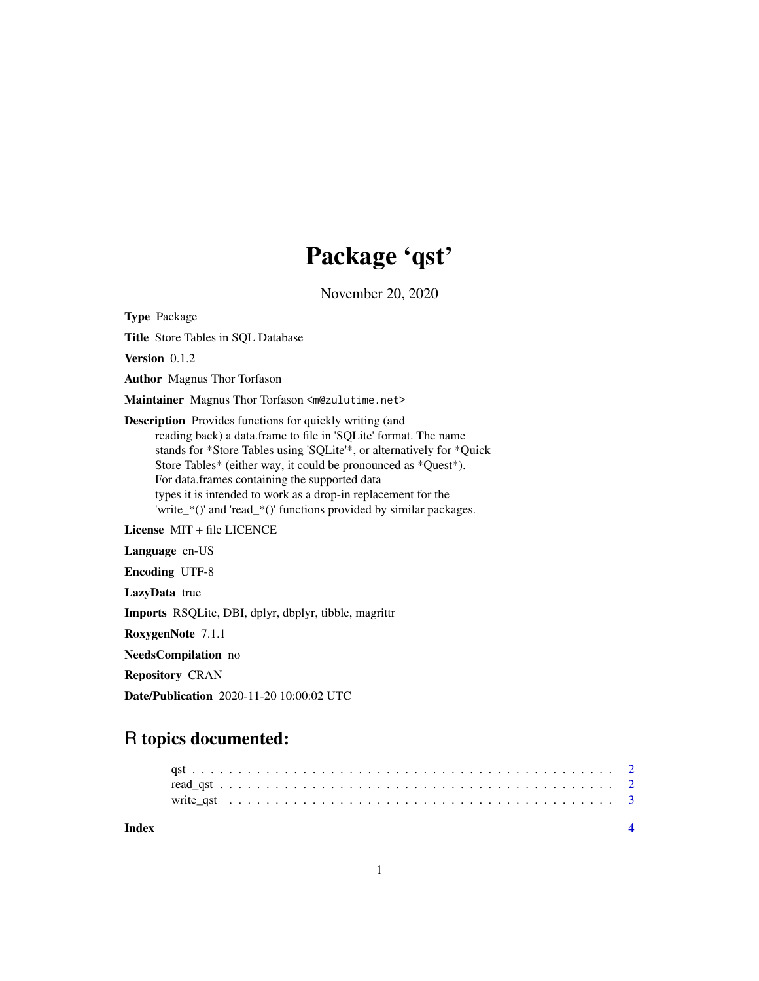## Package 'qst'

November 20, 2020

Type Package

Title Store Tables in SQL Database

Version 0.1.2

Author Magnus Thor Torfason

Maintainer Magnus Thor Torfason <m@zulutime.net>

Description Provides functions for quickly writing (and reading back) a data.frame to file in 'SQLite' format. The name stands for \*Store Tables using 'SQLite'\*, or alternatively for \*Quick Store Tables\* (either way, it could be pronounced as \*Quest\*). For data.frames containing the supported data types it is intended to work as a drop-in replacement for the 'write\_\*()' and 'read\_\*()' functions provided by similar packages.

License MIT + file LICENCE

Language en-US

Encoding UTF-8

LazyData true

Imports RSQLite, DBI, dplyr, dbplyr, tibble, magrittr

RoxygenNote 7.1.1

NeedsCompilation no

Repository CRAN

Date/Publication 2020-11-20 10:00:02 UTC

### R topics documented:

**Index** [4](#page-3-0)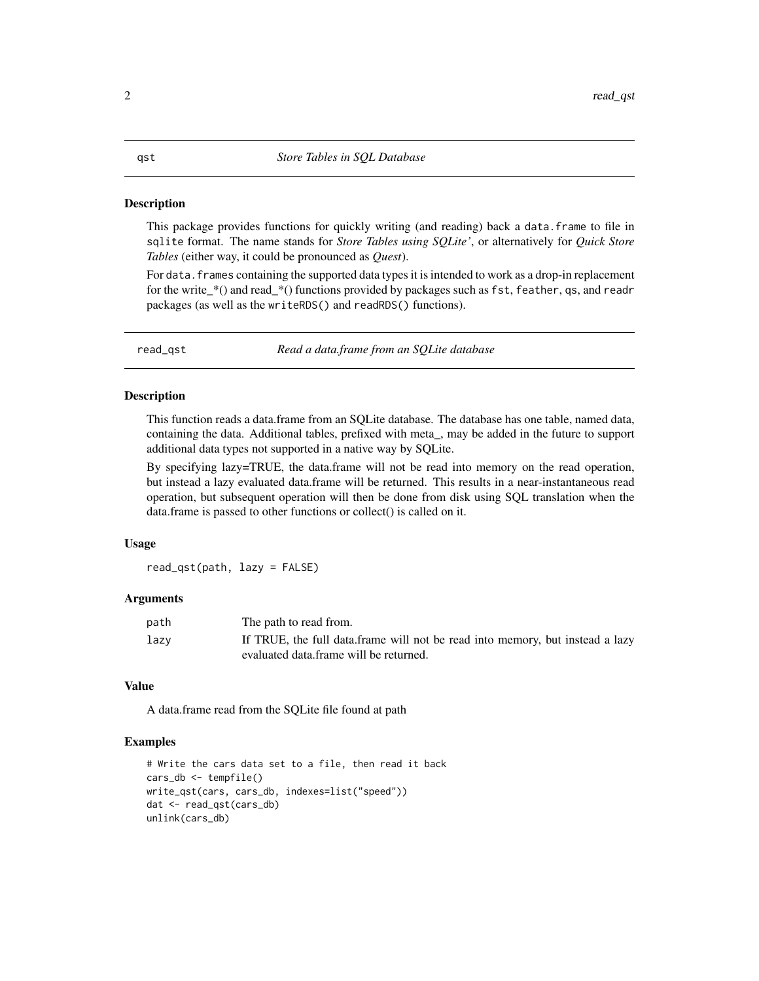### <span id="page-1-0"></span>Description

This package provides functions for quickly writing (and reading) back a data.frame to file in sqlite format. The name stands for *Store Tables using SQLite'*, or alternatively for *Quick Store Tables* (either way, it could be pronounced as *Quest*).

For data. frames containing the supported data types it is intended to work as a drop-in replacement for the write\_ $*($ ) and read\_ $*($ ) functions provided by packages such as fst, feather, qs, and readr packages (as well as the writeRDS() and readRDS() functions).

read\_qst *Read a data.frame from an SQLite database*

### Description

This function reads a data.frame from an SQLite database. The database has one table, named data, containing the data. Additional tables, prefixed with meta\_, may be added in the future to support additional data types not supported in a native way by SQLite.

By specifying lazy=TRUE, the data.frame will not be read into memory on the read operation, but instead a lazy evaluated data.frame will be returned. This results in a near-instantaneous read operation, but subsequent operation will then be done from disk using SQL translation when the data.frame is passed to other functions or collect() is called on it.

### Usage

read\_qst(path, lazy = FALSE)

### Arguments

| path | The path to read from.                                                        |
|------|-------------------------------------------------------------------------------|
| lazy | If TRUE, the full data frame will not be read into memory, but instead a lazy |
|      | evaluated data frame will be returned.                                        |

### Value

A data.frame read from the SQLite file found at path

### Examples

```
# Write the cars data set to a file, then read it back
cars_db <- tempfile()
write_qst(cars, cars_db, indexes=list("speed"))
dat <- read_qst(cars_db)
unlink(cars_db)
```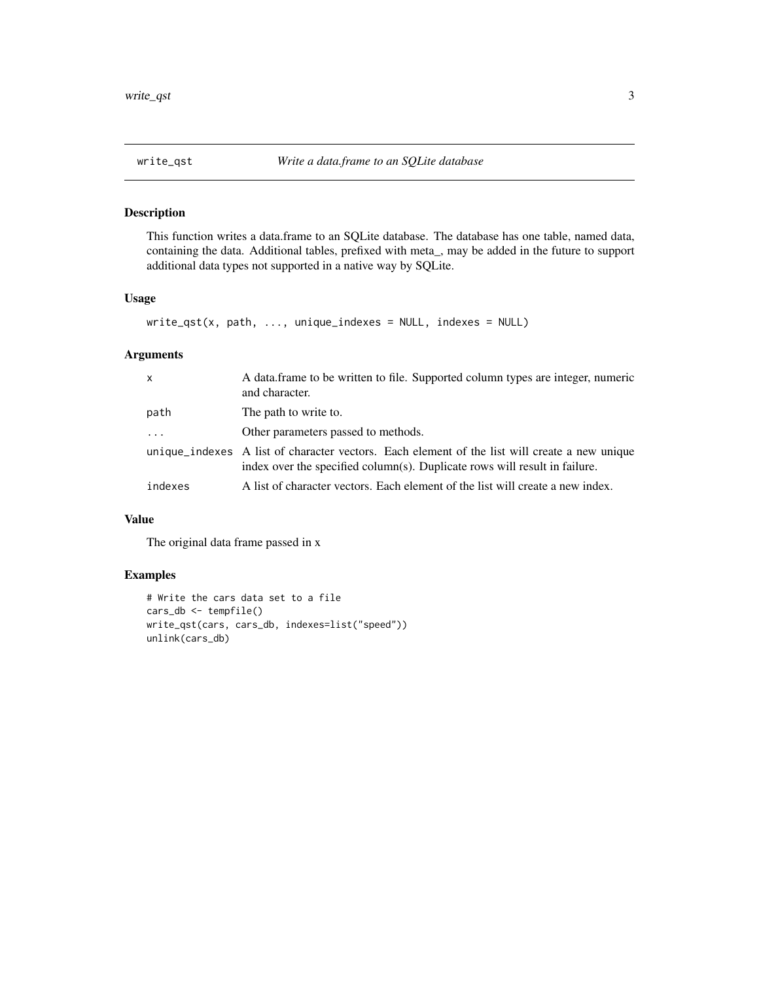<span id="page-2-0"></span>

### Description

This function writes a data.frame to an SQLite database. The database has one table, named data, containing the data. Additional tables, prefixed with meta\_, may be added in the future to support additional data types not supported in a native way by SQLite.

### Usage

```
write\_qst(x, path, ..., unique_indexes = NULL, indexes = NULL)
```
### Arguments

| $\mathsf{x}$ | A data frame to be written to file. Supported column types are integer, numeric<br>and character.                                                                           |
|--------------|-----------------------------------------------------------------------------------------------------------------------------------------------------------------------------|
| path         | The path to write to.                                                                                                                                                       |
|              | Other parameters passed to methods.                                                                                                                                         |
|              | unique_indexes A list of character vectors. Each element of the list will create a new unique<br>index over the specified column(s). Duplicate rows will result in failure. |
| indexes      | A list of character vectors. Each element of the list will create a new index.                                                                                              |

### Value

The original data frame passed in x

### Examples

```
# Write the cars data set to a file
cars_db <- tempfile()
write_qst(cars, cars_db, indexes=list("speed"))
unlink(cars_db)
```